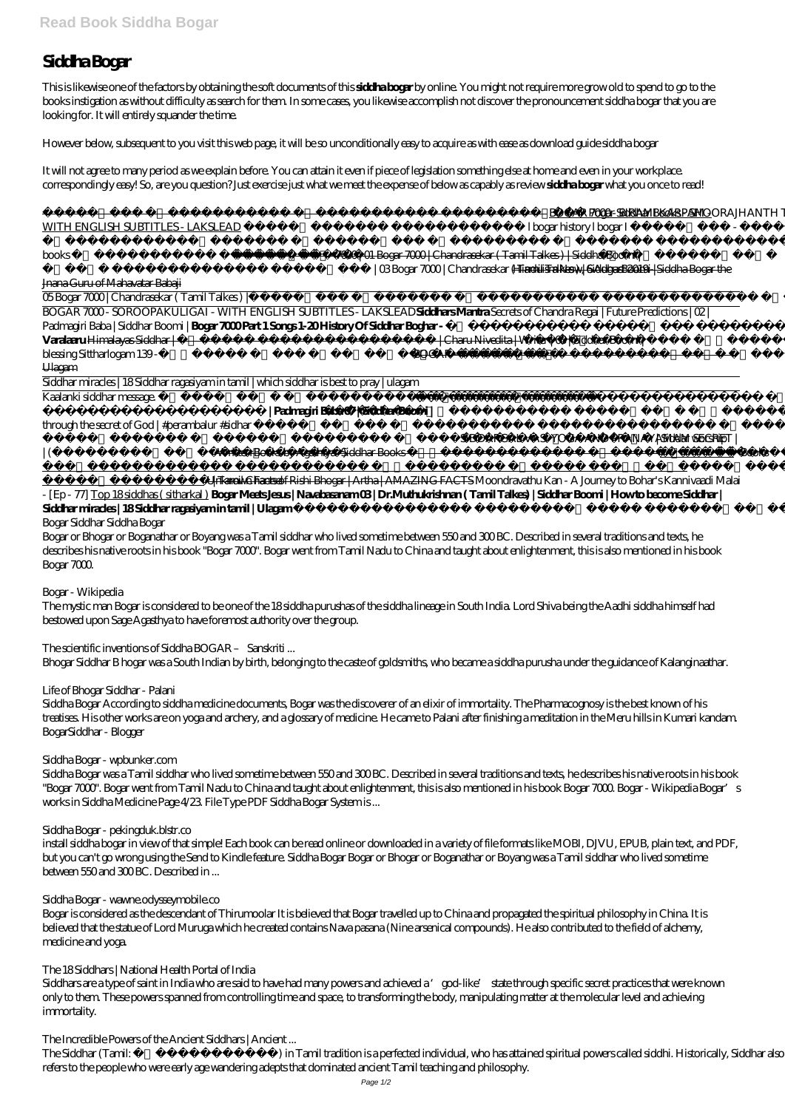# **Siddha Bogar**

This is likewise one of the factors by obtaining the soft documents of this **siddha bogar** by online. You might not require more grow old to spend to go to the books instigation as without difficulty as search for them. In some cases, you likewise accomplish not discover the pronouncement siddha bogar that you are looking for. It will entirely squander the time.

| <b>WITH ENGLISH SUBTITLES - LAKSLEAD</b><br>l bogar history l bogar I<br>Sithargal<br>7000   01 Bogar 7000   Chandrasekar (Tamil Talkes)   SiddharBoomi  <br>books<br><i> OBBogar 7000   Chandrasekar ( Tamil Talkes)   SiddharBoomi  </i> <del>Hinduism Now, 6 August 2019 - Siddha Bogar the</del><br>Jnana Guru of Mahavatar Babaji<br>05 Bogar 7000   Chandrasekar (Tamil Talkes)<br>SiddharBoomi<br>BOGAR 7000 - SOROOPAKULIGAI - WITH ENGLISH SUBTITLES - LAKSLEADSiddharsMantraSecrets of Chandra Regai   Future Predictions   02  <br>Padmagiri Baba   Siddhar Boomi   Bogar 7000 Part 1 Songs 1-20 History Of Siddhar Boghar-<br>Siddhar Boghar<br>  Charu Nivedita   Writer   03   Siddhar Boomi  <br>Varalaaru Himalayas Siddhar  <br>breath and<br>Siththarkal<br>blessing Sittharlogam 139-<br><b>BOGAR</b><br>Ulagam<br>Siddhar miracles   18 Siddhar ragasiyam in tamil   which siddhar is best to pray   ulagam<br>Kaalanki siddhar message.<br>  Padmagiri Baba 07   Siddhar Boomi  <br>Sidhar broke<br>through the secret of $God   \#perambalur \#sidhar  Siddar worship SIDDARGAL VASI YOGA AND PRANAYAMAM SECRET  ) Written Books by Agathiyar Siddhar Books\vert (Books Tamil Channel Unknown Facts of Rishi Bhogar   Artha   AMAZING FACTS Moondravathu Kan - A Journey to Bohar's Kannivaadi Malai- [Ep - 77] Top 18 siddhas (sitharkal) Bogar Meets Jesus   Navabasanam 03   Dr.Muthukrishnan (Tamil Talkes)   Siddhar Boomi   Howto become SiddharSiddharmirades   18Siddharragasiyamintamil   Ulagam?,Bogar Siddhar Siddha BogarBogar or Bhogar or Boganathar or Boyang was a Tamil siddhar who lived sometime between 550 and 300BC. Described in several traditions and texts, hedescribes his native roots in his book "Bogar 7000". Bogar went from Tamil Nadu to China and taught about enlightenment, this is also mentioned in his bookBogar 7000Bogar - WikipediaThe mystic man Bogar is considered to be one of the 18siddha purushas of the siddha lineage in South India. Lord Shiva being the Aadhi siddha himself hadbestowed upon Sage Agasthya to have foremost authority over the group.The scientific inventions of Siddha BOGAR - SanskritiBhogar Siddhar B hogar was a South Indian by birth, belonging to the caste of goldsmiths, who became a siddha purusha under the guidance of Kalanginaathar.Life of Bhogar Siddhar - PalaniSiddha Bogar According to siddha medicine documents, Bogar was the discoverer of an elixir of immortality. The Pharmacognosy is the best known of histreatises. His other works are on yoga and archery, and a glossary of medicine. He came to Palani after finishing a meditation in the Meru hills in Kumari kandam.BogarSiddhar - Blogger$ |  | Pogar Siddhar Books - SHOORAJHANTH TV BOGAR 7000 - BIRAMI KARPAM - |  |
|----------------------------------------------------------------------------------------------------------------------------------------------------------------------------------------------------------------------------------------------------------------------------------------------------------------------------------------------------------------------------------------------------------------------------------------------------------------------------------------------------------------------------------------------------------------------------------------------------------------------------------------------------------------------------------------------------------------------------------------------------------------------------------------------------------------------------------------------------------------------------------------------------------------------------------------------------------------------------------------------------------------------------------------------------------------------------------------------------------------------------------------------------------------------------------------------------------------------------------------------------------------------------------------------------------------------------------------------------------------------------------------------------------------------------------------------------------------------------------------------------------------------------------------------------------------------------------------------------------------------------------------------------------------------------------------------------------------------------------------------------------------------------------------------------------------------------------------------------------------------------------------------------------------------------------------------------------------------------------------------------------------------------------------------------------------------------------------------------------------------------------------------------------------------------------------------------------------------------------------------------------------------------------------------------------------------------------------------------------------------------------------------------------------------------------------------------------------------------------------------------------------------------------------------------------------------------------------------------------------------------------------------------------------------------------------------------------------------------------|--|--------------------------------------------------------------------|--|
|                                                                                                                                                                                                                                                                                                                                                                                                                                                                                                                                                                                                                                                                                                                                                                                                                                                                                                                                                                                                                                                                                                                                                                                                                                                                                                                                                                                                                                                                                                                                                                                                                                                                                                                                                                                                                                                                                                                                                                                                                                                                                                                                                                                                                                                                                                                                                                                                                                                                                                                                                                                                                                                                                                                                  |  |                                                                    |  |
|                                                                                                                                                                                                                                                                                                                                                                                                                                                                                                                                                                                                                                                                                                                                                                                                                                                                                                                                                                                                                                                                                                                                                                                                                                                                                                                                                                                                                                                                                                                                                                                                                                                                                                                                                                                                                                                                                                                                                                                                                                                                                                                                                                                                                                                                                                                                                                                                                                                                                                                                                                                                                                                                                                                                  |  |                                                                    |  |
|                                                                                                                                                                                                                                                                                                                                                                                                                                                                                                                                                                                                                                                                                                                                                                                                                                                                                                                                                                                                                                                                                                                                                                                                                                                                                                                                                                                                                                                                                                                                                                                                                                                                                                                                                                                                                                                                                                                                                                                                                                                                                                                                                                                                                                                                                                                                                                                                                                                                                                                                                                                                                                                                                                                                  |  |                                                                    |  |
|                                                                                                                                                                                                                                                                                                                                                                                                                                                                                                                                                                                                                                                                                                                                                                                                                                                                                                                                                                                                                                                                                                                                                                                                                                                                                                                                                                                                                                                                                                                                                                                                                                                                                                                                                                                                                                                                                                                                                                                                                                                                                                                                                                                                                                                                                                                                                                                                                                                                                                                                                                                                                                                                                                                                  |  |                                                                    |  |
|                                                                                                                                                                                                                                                                                                                                                                                                                                                                                                                                                                                                                                                                                                                                                                                                                                                                                                                                                                                                                                                                                                                                                                                                                                                                                                                                                                                                                                                                                                                                                                                                                                                                                                                                                                                                                                                                                                                                                                                                                                                                                                                                                                                                                                                                                                                                                                                                                                                                                                                                                                                                                                                                                                                                  |  |                                                                    |  |
|                                                                                                                                                                                                                                                                                                                                                                                                                                                                                                                                                                                                                                                                                                                                                                                                                                                                                                                                                                                                                                                                                                                                                                                                                                                                                                                                                                                                                                                                                                                                                                                                                                                                                                                                                                                                                                                                                                                                                                                                                                                                                                                                                                                                                                                                                                                                                                                                                                                                                                                                                                                                                                                                                                                                  |  |                                                                    |  |
|                                                                                                                                                                                                                                                                                                                                                                                                                                                                                                                                                                                                                                                                                                                                                                                                                                                                                                                                                                                                                                                                                                                                                                                                                                                                                                                                                                                                                                                                                                                                                                                                                                                                                                                                                                                                                                                                                                                                                                                                                                                                                                                                                                                                                                                                                                                                                                                                                                                                                                                                                                                                                                                                                                                                  |  |                                                                    |  |
|                                                                                                                                                                                                                                                                                                                                                                                                                                                                                                                                                                                                                                                                                                                                                                                                                                                                                                                                                                                                                                                                                                                                                                                                                                                                                                                                                                                                                                                                                                                                                                                                                                                                                                                                                                                                                                                                                                                                                                                                                                                                                                                                                                                                                                                                                                                                                                                                                                                                                                                                                                                                                                                                                                                                  |  |                                                                    |  |
|                                                                                                                                                                                                                                                                                                                                                                                                                                                                                                                                                                                                                                                                                                                                                                                                                                                                                                                                                                                                                                                                                                                                                                                                                                                                                                                                                                                                                                                                                                                                                                                                                                                                                                                                                                                                                                                                                                                                                                                                                                                                                                                                                                                                                                                                                                                                                                                                                                                                                                                                                                                                                                                                                                                                  |  |                                                                    |  |
|                                                                                                                                                                                                                                                                                                                                                                                                                                                                                                                                                                                                                                                                                                                                                                                                                                                                                                                                                                                                                                                                                                                                                                                                                                                                                                                                                                                                                                                                                                                                                                                                                                                                                                                                                                                                                                                                                                                                                                                                                                                                                                                                                                                                                                                                                                                                                                                                                                                                                                                                                                                                                                                                                                                                  |  |                                                                    |  |
|                                                                                                                                                                                                                                                                                                                                                                                                                                                                                                                                                                                                                                                                                                                                                                                                                                                                                                                                                                                                                                                                                                                                                                                                                                                                                                                                                                                                                                                                                                                                                                                                                                                                                                                                                                                                                                                                                                                                                                                                                                                                                                                                                                                                                                                                                                                                                                                                                                                                                                                                                                                                                                                                                                                                  |  |                                                                    |  |
|                                                                                                                                                                                                                                                                                                                                                                                                                                                                                                                                                                                                                                                                                                                                                                                                                                                                                                                                                                                                                                                                                                                                                                                                                                                                                                                                                                                                                                                                                                                                                                                                                                                                                                                                                                                                                                                                                                                                                                                                                                                                                                                                                                                                                                                                                                                                                                                                                                                                                                                                                                                                                                                                                                                                  |  |                                                                    |  |
|                                                                                                                                                                                                                                                                                                                                                                                                                                                                                                                                                                                                                                                                                                                                                                                                                                                                                                                                                                                                                                                                                                                                                                                                                                                                                                                                                                                                                                                                                                                                                                                                                                                                                                                                                                                                                                                                                                                                                                                                                                                                                                                                                                                                                                                                                                                                                                                                                                                                                                                                                                                                                                                                                                                                  |  |                                                                    |  |
|                                                                                                                                                                                                                                                                                                                                                                                                                                                                                                                                                                                                                                                                                                                                                                                                                                                                                                                                                                                                                                                                                                                                                                                                                                                                                                                                                                                                                                                                                                                                                                                                                                                                                                                                                                                                                                                                                                                                                                                                                                                                                                                                                                                                                                                                                                                                                                                                                                                                                                                                                                                                                                                                                                                                  |  |                                                                    |  |
|                                                                                                                                                                                                                                                                                                                                                                                                                                                                                                                                                                                                                                                                                                                                                                                                                                                                                                                                                                                                                                                                                                                                                                                                                                                                                                                                                                                                                                                                                                                                                                                                                                                                                                                                                                                                                                                                                                                                                                                                                                                                                                                                                                                                                                                                                                                                                                                                                                                                                                                                                                                                                                                                                                                                  |  |                                                                    |  |
|                                                                                                                                                                                                                                                                                                                                                                                                                                                                                                                                                                                                                                                                                                                                                                                                                                                                                                                                                                                                                                                                                                                                                                                                                                                                                                                                                                                                                                                                                                                                                                                                                                                                                                                                                                                                                                                                                                                                                                                                                                                                                                                                                                                                                                                                                                                                                                                                                                                                                                                                                                                                                                                                                                                                  |  |                                                                    |  |
|                                                                                                                                                                                                                                                                                                                                                                                                                                                                                                                                                                                                                                                                                                                                                                                                                                                                                                                                                                                                                                                                                                                                                                                                                                                                                                                                                                                                                                                                                                                                                                                                                                                                                                                                                                                                                                                                                                                                                                                                                                                                                                                                                                                                                                                                                                                                                                                                                                                                                                                                                                                                                                                                                                                                  |  |                                                                    |  |
|                                                                                                                                                                                                                                                                                                                                                                                                                                                                                                                                                                                                                                                                                                                                                                                                                                                                                                                                                                                                                                                                                                                                                                                                                                                                                                                                                                                                                                                                                                                                                                                                                                                                                                                                                                                                                                                                                                                                                                                                                                                                                                                                                                                                                                                                                                                                                                                                                                                                                                                                                                                                                                                                                                                                  |  |                                                                    |  |
|                                                                                                                                                                                                                                                                                                                                                                                                                                                                                                                                                                                                                                                                                                                                                                                                                                                                                                                                                                                                                                                                                                                                                                                                                                                                                                                                                                                                                                                                                                                                                                                                                                                                                                                                                                                                                                                                                                                                                                                                                                                                                                                                                                                                                                                                                                                                                                                                                                                                                                                                                                                                                                                                                                                                  |  |                                                                    |  |
|                                                                                                                                                                                                                                                                                                                                                                                                                                                                                                                                                                                                                                                                                                                                                                                                                                                                                                                                                                                                                                                                                                                                                                                                                                                                                                                                                                                                                                                                                                                                                                                                                                                                                                                                                                                                                                                                                                                                                                                                                                                                                                                                                                                                                                                                                                                                                                                                                                                                                                                                                                                                                                                                                                                                  |  |                                                                    |  |
|                                                                                                                                                                                                                                                                                                                                                                                                                                                                                                                                                                                                                                                                                                                                                                                                                                                                                                                                                                                                                                                                                                                                                                                                                                                                                                                                                                                                                                                                                                                                                                                                                                                                                                                                                                                                                                                                                                                                                                                                                                                                                                                                                                                                                                                                                                                                                                                                                                                                                                                                                                                                                                                                                                                                  |  |                                                                    |  |
|                                                                                                                                                                                                                                                                                                                                                                                                                                                                                                                                                                                                                                                                                                                                                                                                                                                                                                                                                                                                                                                                                                                                                                                                                                                                                                                                                                                                                                                                                                                                                                                                                                                                                                                                                                                                                                                                                                                                                                                                                                                                                                                                                                                                                                                                                                                                                                                                                                                                                                                                                                                                                                                                                                                                  |  |                                                                    |  |
|                                                                                                                                                                                                                                                                                                                                                                                                                                                                                                                                                                                                                                                                                                                                                                                                                                                                                                                                                                                                                                                                                                                                                                                                                                                                                                                                                                                                                                                                                                                                                                                                                                                                                                                                                                                                                                                                                                                                                                                                                                                                                                                                                                                                                                                                                                                                                                                                                                                                                                                                                                                                                                                                                                                                  |  |                                                                    |  |
|                                                                                                                                                                                                                                                                                                                                                                                                                                                                                                                                                                                                                                                                                                                                                                                                                                                                                                                                                                                                                                                                                                                                                                                                                                                                                                                                                                                                                                                                                                                                                                                                                                                                                                                                                                                                                                                                                                                                                                                                                                                                                                                                                                                                                                                                                                                                                                                                                                                                                                                                                                                                                                                                                                                                  |  |                                                                    |  |
| Siddha Bogar - wpbunker.com<br>Siddha Bogar was a Tamil siddhar who lived sometime between 550 and 300BC. Described in several traditions and texts, he describes his native roots in his book<br>"Bogar 7000". Bogar went from Tamil Nadu to China and taught about enlightenment, this is also mentioned in his book Bogar 7000 Bogar - Wikipedia Bogar's                                                                                                                                                                                                                                                                                                                                                                                                                                                                                                                                                                                                                                                                                                                                                                                                                                                                                                                                                                                                                                                                                                                                                                                                                                                                                                                                                                                                                                                                                                                                                                                                                                                                                                                                                                                                                                                                                                                                                                                                                                                                                                                                                                                                                                                                                                                                                                      |  |                                                                    |  |

However below, subsequent to you visit this web page, it will be so unconditionally easy to acquire as with ease as download guide siddha bogar

It will not agree to many period as we explain before. You can attain it even if piece of legislation something else at home and even in your workplace. correspondingly easy! So, are you question? Just exercise just what we meet the expense of below as capably as review **siddha bogar** what you once to read!

install siddha bogar in view of that simple! Each book can be read online or downloaded in a variety of file formats like MOBI, DJVU, EPUB, plain text, and PDF, but you can't go wrong using the Send to Kindle feature. Siddha Bogar Bogar or Bhogar or Boganathar or Boyang was a Tamil siddhar who lived sometime between 550 and 300 BC. Described in ...

Siddhars are a type of saint in India who are said to have had many powers and achieved a 'god-like' state through specific secret practices that were known only to them. These powers spanned from controlling time and space, to transforming the body, manipulating matter at the molecular level and achieving immortality.

The Siddhar (Tamil: ) in Tamil tradition is a perfected individual, who has attained spiritual powers called siddhi. Historically, Siddhar also refers to the people who were early age wandering adepts that dominated ancient Tamil teaching and philosophy.

works in Siddha Medicine Page 4/23. File Type PDF Siddha Bogar System is ...

*Siddha Bogar - pekingduk.blstr.co*

## *Siddha Bogar - wawne.odysseymobile.co*

Bogar is considered as the descendant of Thirumoolar It is believed that Bogar travelled up to China and propagated the spiritual philosophy in China. It is believed that the statue of Lord Muruga which he created contains Nava pasana (Nine arsenical compounds). He also contributed to the field of alchemy, medicine and yoga.

#### *The 18 Siddhars | National Health Portal of India*

#### *The Incredible Powers of the Ancient Siddhars | Ancient ...*